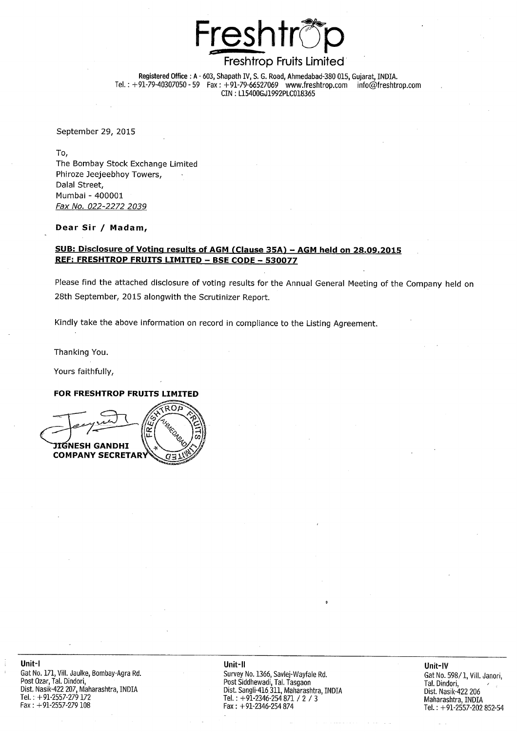

# Freshtrop Fruits Limited

Registered Office: A - 603, Shapath IV, S. G. Road, Ahmedabad-380 015, Gujarat, INDIA. Tel.:  $+91-79-40307050-59$  Fax:  $+91-79-66527069$  www.freshtrop.com info@freshtrop.com CIN: L15400GJ1992PLC018365

September 29, 2015

To, The Bombay Stock Exchange Limited Phiroze Jeejeebhoy Towers, Dalal Street, Mumbai - 400001 Fax No. 022-2272 2039

#### Dear Sir / Madam,

#### SUB: Disclosure of Voting results of AGM (Clause 35A) - AGM held on 28.09.2015 REF: FRESHTROP FRUITS LIMITED - BSE CODE - 530077

Please find the attached disclosure of voting results for the Annual General Meeting of the Company held on 28th September, 2015 alongwith the Scrutinizer Report.

Kindly take the above information on record in compliance to the Listing Agreement.

Thanking You.

Yours faithfully,

#### FOR FRESHTROP FRUITS LIMITED



#### Unit-II

Survey No. 1366, Savlej-Wayfale Rd.<br>Post Siddhewadi, Tal. Tasgaon Dist. Sangli-416 311, Maharashtra, INDIA Tel.: +91-2346-254 871 / 2 / 3 Fax:  $+91-2346-254874$ 

Unit-IV Gat No. 598/1, Vill. Janori, Tal. Dindori. Dist. Nasik-422 206 Maharashtra, INDIA Tel.: +91-2557-202 852-54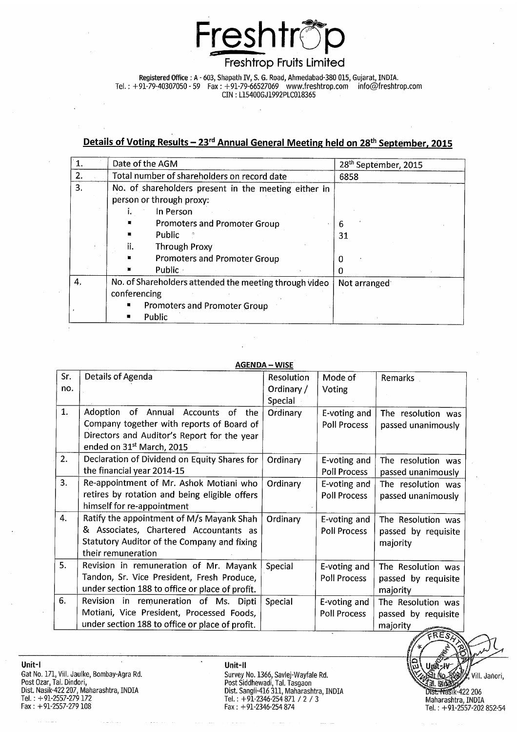

## **Freshtrop Fruits Limited**

# Details of Voting Results - 23<sup>rd</sup> Annual General Meeting held on 28<sup>th</sup> September, 2015

|    | Date of the AGM                                                                                                         | 28 <sup>th</sup> September, 2015 |
|----|-------------------------------------------------------------------------------------------------------------------------|----------------------------------|
| 2. | Total number of shareholders on record date                                                                             | 6858                             |
| 3. | No. of shareholders present in the meeting either in<br>person or through proxy:                                        |                                  |
|    | In Person<br>L.<br>Promoters and Promoter Group<br>貭<br>Public<br>п<br>ii.                                              | 6<br>31                          |
|    | <b>Through Proxy</b><br><b>Promoters and Promoter Group</b><br><b>Public</b>                                            |                                  |
| 4. | No. of Shareholders attended the meeting through video<br>conferencing<br><b>Promoters and Promoter Group</b><br>Public | Not arranged                     |

#### **AGENDA - WISE**

| Sr. | Details of Agenda                               | <b>Resolution</b> | Mode of             | <b>Remarks</b>                   |
|-----|-------------------------------------------------|-------------------|---------------------|----------------------------------|
| no. |                                                 | Ordinary /        | Voting              |                                  |
|     |                                                 | Special           |                     |                                  |
| 1.  | Adoption<br>of<br>Annual Accounts of<br>the     | Ordinary          | E-voting and        | The resolution was               |
|     | Company together with reports of Board of       |                   | <b>Poll Process</b> | passed unanimously               |
|     | Directors and Auditor's Report for the year     |                   |                     |                                  |
|     | ended on 31 <sup>st</sup> March, 2015           |                   |                     |                                  |
| 2.  | Declaration of Dividend on Equity Shares for    | Ordinary          | E-voting and        | The resolution was               |
|     | the financial year 2014-15                      |                   | <b>Poll Process</b> | passed unanimously               |
| 3.  | Re-appointment of Mr. Ashok Motiani who         | Ordinary          | E-voting and        | The resolution was               |
|     | retires by rotation and being eligible offers   |                   | <b>Poll Process</b> | passed unanimously               |
|     | himself for re-appointment                      |                   |                     |                                  |
| 4.  | Ratify the appointment of M/s Mayank Shah       | Ordinary          | E-voting and        | The Resolution was               |
|     | & Associates, Chartered Accountants as          |                   | <b>Poll Process</b> | passed by requisite              |
|     | Statutory Auditor of the Company and fixing     |                   |                     | majority                         |
|     | their remuneration                              |                   |                     |                                  |
| 5.  | Revision in remuneration of Mr. Mayank          | Special           | E-voting and        | The Resolution was               |
|     | Tandon, Sr. Vice President, Fresh Produce,      |                   | <b>Poll Process</b> | passed by requisite              |
|     | under section 188 to office or place of profit. |                   |                     | majority                         |
| 6.  | Revision in remuneration of Ms. Dipti           | Special           | E-voting and        | The Resolution was               |
|     | Motiani, Vice President, Processed Foods,       |                   | Poll Process        | passed by requisite              |
|     | under section 188 to office or place of profit. |                   |                     | majority<br><b>START WASHING</b> |

Unit-II Survey No. 1366, Savlej-Wayfale Rd.<br>Post Siddhewadi, Tal. Tasgaon<br>Dist. Sangli-416 311, Maharashtra, INDIA<br>Tel. : +91-2346-254 871 / 2 / 3<br>Fax : +91-2346-254 874

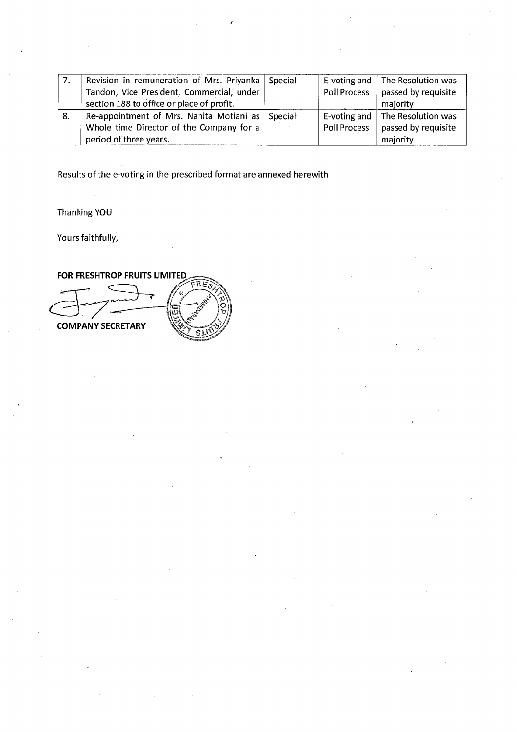| 7. | Revision in remuneration of Mrs. Priyanka Special |                     | E-voting and   The Resolution was |
|----|---------------------------------------------------|---------------------|-----------------------------------|
|    | Tandon, Vice President, Commercial, under         | Poll Process        | passed by requisite               |
|    | section 188 to office or place of profit.         |                     | majority                          |
| 8. | Re-appointment of Mrs. Nanita Motiani as Special  |                     | E-voting and   The Resolution was |
|    | Whole time Director of the Company for a          | <b>Poll Process</b> | passed by requisite               |
|    | period of three years.                            |                     | majority                          |

Results of the e-voting in the prescribed format are annexed herewith

Thanking YOU

Yours faithfully,

FOR FRESHTROP FRUITS LIMITED

FRE **COMPANY SECRETARY**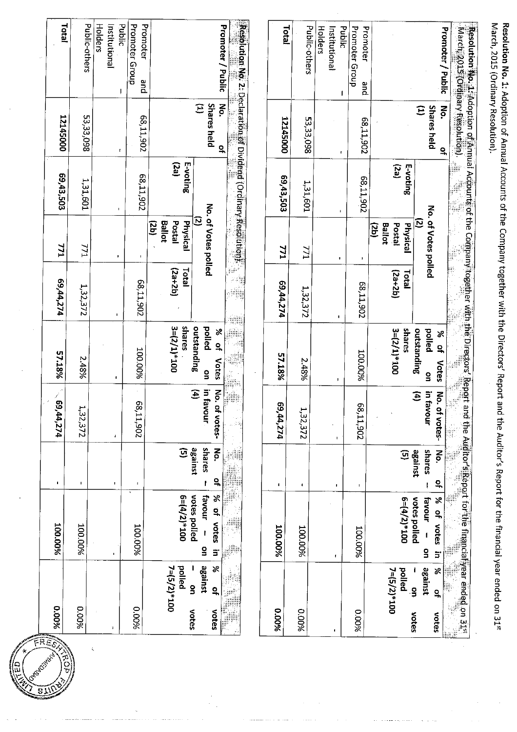| <b>100.00%</b><br>100.00%                  | f.                                           | (69,44,274)                                   | 57.18%                                                          |                           |                                                   |                  |                                                                     |                                                                 |
|--------------------------------------------|----------------------------------------------|-----------------------------------------------|-----------------------------------------------------------------|---------------------------|---------------------------------------------------|------------------|---------------------------------------------------------------------|-----------------------------------------------------------------|
|                                            |                                              |                                               |                                                                 | 69,44,274                 | 771                                               | 69,43,503        | 12145000                                                            | Total                                                           |
|                                            | $\mathbf{I}$                                 | 1,32,372                                      | 2.48%                                                           | 1,32,372                  | 771                                               | 131,601          | 53,33,098                                                           | Public-others                                                   |
|                                            | $\mathbf{I}$                                 |                                               |                                                                 |                           | $\mathbf{r}$                                      | $\mathbf{I}$     | t                                                                   | <b>Holders</b><br><b>Public</b><br>Institutional                |
| 100.00%                                    | $\blacksquare$                               | 206'11'89                                     | 100.00%                                                         | 68,11,902                 |                                                   | 68,11,902        | 68,11,902                                                           | Promoter Group<br>Promoter<br>pue                               |
| $6 = (4/2)*100$                            | $\overline{9}$                               |                                               | suares<br>$3 = (2/1)*100$                                       | $(2a+2b)$<br><b>Idtal</b> | Physical<br><b>Ballot</b><br>Postal<br>(db)       | (za)<br>E-voting |                                                                     |                                                                 |
| X<br>votes polled<br>favour<br>¤,<br>votes | against<br>shares<br>Р.<br>$\mathbf{a}$      | $\mathbf{E}$<br>in favour<br>λó.<br>of votes- | outstanding<br>polled<br>% of<br>Votes<br>$\frac{1}{2}$         |                           | No. of Votes polled<br><u>ි</u>                   |                  | <b>Shares held</b><br>$\widehat{E}$<br>No.<br>읶                     | <b>Promoter / Public</b>                                        |
|                                            |                                              | ð d                                           |                                                                 | 28                        |                                                   |                  |                                                                     | Resolution No. 2: Declaration of Dividend (Ordinary Resolution) |
| 100.00%                                    | $\blacksquare$                               | 59,44,274                                     | 57.18%                                                          | 69,44,274                 | <b>771</b>                                        | 69,43,503        | 12145000                                                            | Total                                                           |
| 100.00%                                    | $\blacksquare$                               | 1,32,372                                      | 2.48%                                                           | 1,32,372                  | 771                                               | 1,31,601         | 53,33,098                                                           | Public-others                                                   |
|                                            | $\bullet$                                    | $\mathbf{r}$                                  | J.                                                              | $\blacksquare$            | $\mathbf{I}$                                      |                  | г                                                                   | Holders<br>Public<br>Institutional                              |
| 700.00%                                    | 1                                            | 206'11'89                                     | 100.00%                                                         | 68,11,902                 |                                                   | 68,11,902        | 205'11'89                                                           | <b>Promoter Group</b><br>Promoter<br>pue                        |
| $6 = (4/2)*100$                            | $\mathbf{\widehat{G}}$                       |                                               | shares<br>$3 = (2/1)^*100$                                      | $(2a+2b)$<br><b>Total</b> | Postal<br>Ballot<br><b>Physical</b><br><u>iab</u> | (2a)<br>E-voting |                                                                     |                                                                 |
| % of votes<br>votes polled<br>favour       | shares<br>against<br>No.<br>$\tilde{\sigma}$ | E<br>in favour<br>ξ.<br>of votes-             | outstanding<br>pelled<br>$\aleph$<br>읶<br>Votes<br>$\mathbf{S}$ |                           | No. of Votes polled<br><u>ව</u>                   |                  | $\overline{\mathbf{5}}$<br><b>Shares held</b><br>$\widehat{E}$<br>٩ | Promoter / Public                                               |

Resolution No. 1: Adoption of Annual Accounts of the Company together with the Directors' Report and the Auditor's Report for the financial year ended on 31st<br>March, 2015 (Ordinary Resolution).

S.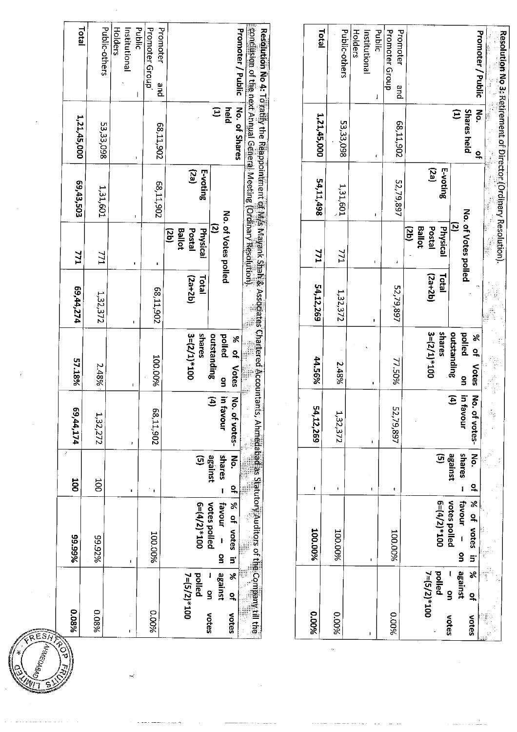| conclusion of the next Annual General Meeting (Ordinary Resolution),<br>Promoter<br><b>Promoter / Public</b><br>Resclution No.4: To ratify the Reappointiment of M/s Mayank Shah & Associates Chartered Accountan<br>Promoter / Public<br>Resolution No 3, Retirement of Director (Ordinary Resolution).<br>pue<br>and<br>No. of Shares<br>$\widehat{\Xi}$<br>held<br><b>Shares held</b><br>š<br>$\widehat{\Xi}$<br>1,21,45,000<br>53,33,098<br>68,11,902<br>53,33,098<br>68,11,902<br>$\mathbf{a}$<br>$\blacksquare$<br>(ez)<br>E-voting<br>ίες<br>E-voting<br>54,11,498<br>52,79,897<br>205'11'89<br>1,31,601<br>1,31,601<br>No. of Votes polled<br>No. of Votes polled<br>$\mathbf{I}$<br>$\epsilon^{\frac{1}{2}}$<br>្ទ<br>$\tilde{c}$<br><b>Ballot</b><br>Postal<br><b>Physical</b><br>(db)<br>Physical<br><b>Ballot</b><br>Postal<br>(as)<br><b>IZZ</b><br><b>ZZZ</b><br>IЛ<br>$\mathbf{I}$<br>$\pmb{\downarrow}$<br>$\blacksquare$<br>$\blacksquare$<br>$(2a+2b)$<br>Total<br>$(2a+2b)$<br>Total<br>54,12,269<br>52,79,897<br>68,11,902<br>1,32,372<br>1,32,372<br>$\blacksquare$<br>shares<br>outstanding<br>$3 = (2/1)*100$<br>polled<br>shares<br>$3 = (2/1)*100$<br>outstanding<br>$\aleph$<br>palled<br>$\aleph$<br>$\overline{a}$<br>$\overline{a}$<br>100.00%<br>44.56%<br>77.50%<br>2.48%<br>2.48%<br>Votes<br>Votes<br>$\frac{8}{1}$<br>$\mathbf{S}$<br>×<br>in favour<br>$\widehat{\mathbf{f}}$<br>ξ<br>$\mathbf{E}$<br>in favour<br>ξ.<br>54,12,269<br>58,11,902<br>52,79,897<br>ts, Ahmedabad as Statutory Auditors of the Company till the<br>of votes-<br>1,32,372<br>of votes-<br>1,32,272<br>I.<br>$\pmb{\mathfrak{p}}$<br>No<br>shares<br>against<br>$\mathbf{\widehat{S}}$<br>against<br>shares<br>$\xi$<br>$\overline{S}$<br>ä<br>읶<br>읶<br>1<br>$\blacksquare$<br>$\mathbf{I}$<br>,<br>$\mathbf{r}$<br>$\blacksquare$<br>$\mathbf{r}$<br>votes polled<br>% of votes<br><b>Favour</b><br>$6 = (4/2)*100$<br>X<br>$001*(2/t)=9$<br>votes polled<br>favour<br>of votes<br>100.00%<br><b>200.00%</b><br>100.00%<br>100.00%<br>%26'66<br>$\epsilon$<br>$\mathbf{S}$<br>$\overline{\mathbf{5}}$<br>5<br>I.<br>$\blacksquare$<br>against<br>pelled<br>X<br>$7=(5/2)*100$<br>against<br>$\aleph$<br>Ť<br>polled<br>$7 = (5/2)*100$<br>g<br>$\mathbf{S}$<br>$\tilde{\sigma}$<br>읶<br>9880.0<br>9600.0<br>960010<br>%00°0<br>9600.0<br>votes<br>votes<br>votes<br>votes<br>$\mathbf{I}$ | 980'0<br>$\widetilde{S}$ | 99.99% | <b>UOO</b> | 69,44,174 | 57.18% | 69, 44, 274 | 771 | 69,43,503 | 1,21,45,000 | <b>Total</b>                       |
|----------------------------------------------------------------------------------------------------------------------------------------------------------------------------------------------------------------------------------------------------------------------------------------------------------------------------------------------------------------------------------------------------------------------------------------------------------------------------------------------------------------------------------------------------------------------------------------------------------------------------------------------------------------------------------------------------------------------------------------------------------------------------------------------------------------------------------------------------------------------------------------------------------------------------------------------------------------------------------------------------------------------------------------------------------------------------------------------------------------------------------------------------------------------------------------------------------------------------------------------------------------------------------------------------------------------------------------------------------------------------------------------------------------------------------------------------------------------------------------------------------------------------------------------------------------------------------------------------------------------------------------------------------------------------------------------------------------------------------------------------------------------------------------------------------------------------------------------------------------------------------------------------------------------------------------------------------------------------------------------------------------------------------------------------------------------------------------------------------------------------------------------------------------------------------------------------------------------------------------------------------------------------------------------------------------------------------------------------------------------------------------------------------|--------------------------|--------|------------|-----------|--------|-------------|-----|-----------|-------------|------------------------------------|
|                                                                                                                                                                                                                                                                                                                                                                                                                                                                                                                                                                                                                                                                                                                                                                                                                                                                                                                                                                                                                                                                                                                                                                                                                                                                                                                                                                                                                                                                                                                                                                                                                                                                                                                                                                                                                                                                                                                                                                                                                                                                                                                                                                                                                                                                                                                                                                                                          |                          |        |            |           |        |             |     |           |             | Public-others                      |
|                                                                                                                                                                                                                                                                                                                                                                                                                                                                                                                                                                                                                                                                                                                                                                                                                                                                                                                                                                                                                                                                                                                                                                                                                                                                                                                                                                                                                                                                                                                                                                                                                                                                                                                                                                                                                                                                                                                                                                                                                                                                                                                                                                                                                                                                                                                                                                                                          |                          |        |            |           |        |             |     |           |             | Holders<br>Institutional<br>Public |
|                                                                                                                                                                                                                                                                                                                                                                                                                                                                                                                                                                                                                                                                                                                                                                                                                                                                                                                                                                                                                                                                                                                                                                                                                                                                                                                                                                                                                                                                                                                                                                                                                                                                                                                                                                                                                                                                                                                                                                                                                                                                                                                                                                                                                                                                                                                                                                                                          |                          |        |            |           |        |             |     |           |             | Promoter Group                     |
|                                                                                                                                                                                                                                                                                                                                                                                                                                                                                                                                                                                                                                                                                                                                                                                                                                                                                                                                                                                                                                                                                                                                                                                                                                                                                                                                                                                                                                                                                                                                                                                                                                                                                                                                                                                                                                                                                                                                                                                                                                                                                                                                                                                                                                                                                                                                                                                                          |                          |        |            |           |        |             |     |           |             |                                    |
|                                                                                                                                                                                                                                                                                                                                                                                                                                                                                                                                                                                                                                                                                                                                                                                                                                                                                                                                                                                                                                                                                                                                                                                                                                                                                                                                                                                                                                                                                                                                                                                                                                                                                                                                                                                                                                                                                                                                                                                                                                                                                                                                                                                                                                                                                                                                                                                                          |                          |        |            |           |        |             |     |           |             |                                    |
|                                                                                                                                                                                                                                                                                                                                                                                                                                                                                                                                                                                                                                                                                                                                                                                                                                                                                                                                                                                                                                                                                                                                                                                                                                                                                                                                                                                                                                                                                                                                                                                                                                                                                                                                                                                                                                                                                                                                                                                                                                                                                                                                                                                                                                                                                                                                                                                                          |                          |        |            |           |        |             |     |           |             |                                    |
|                                                                                                                                                                                                                                                                                                                                                                                                                                                                                                                                                                                                                                                                                                                                                                                                                                                                                                                                                                                                                                                                                                                                                                                                                                                                                                                                                                                                                                                                                                                                                                                                                                                                                                                                                                                                                                                                                                                                                                                                                                                                                                                                                                                                                                                                                                                                                                                                          |                          |        |            |           |        |             |     |           |             |                                    |
|                                                                                                                                                                                                                                                                                                                                                                                                                                                                                                                                                                                                                                                                                                                                                                                                                                                                                                                                                                                                                                                                                                                                                                                                                                                                                                                                                                                                                                                                                                                                                                                                                                                                                                                                                                                                                                                                                                                                                                                                                                                                                                                                                                                                                                                                                                                                                                                                          |                          |        |            |           |        |             |     |           |             | Total                              |
|                                                                                                                                                                                                                                                                                                                                                                                                                                                                                                                                                                                                                                                                                                                                                                                                                                                                                                                                                                                                                                                                                                                                                                                                                                                                                                                                                                                                                                                                                                                                                                                                                                                                                                                                                                                                                                                                                                                                                                                                                                                                                                                                                                                                                                                                                                                                                                                                          |                          |        |            |           |        |             |     |           |             | Public-others                      |
|                                                                                                                                                                                                                                                                                                                                                                                                                                                                                                                                                                                                                                                                                                                                                                                                                                                                                                                                                                                                                                                                                                                                                                                                                                                                                                                                                                                                                                                                                                                                                                                                                                                                                                                                                                                                                                                                                                                                                                                                                                                                                                                                                                                                                                                                                                                                                                                                          |                          |        |            |           |        |             |     |           |             | Holders<br>Institutional<br>Public |
|                                                                                                                                                                                                                                                                                                                                                                                                                                                                                                                                                                                                                                                                                                                                                                                                                                                                                                                                                                                                                                                                                                                                                                                                                                                                                                                                                                                                                                                                                                                                                                                                                                                                                                                                                                                                                                                                                                                                                                                                                                                                                                                                                                                                                                                                                                                                                                                                          |                          |        |            |           |        |             |     |           |             | Promoter Group<br>Promoter         |
|                                                                                                                                                                                                                                                                                                                                                                                                                                                                                                                                                                                                                                                                                                                                                                                                                                                                                                                                                                                                                                                                                                                                                                                                                                                                                                                                                                                                                                                                                                                                                                                                                                                                                                                                                                                                                                                                                                                                                                                                                                                                                                                                                                                                                                                                                                                                                                                                          |                          |        |            |           |        |             |     |           |             |                                    |
|                                                                                                                                                                                                                                                                                                                                                                                                                                                                                                                                                                                                                                                                                                                                                                                                                                                                                                                                                                                                                                                                                                                                                                                                                                                                                                                                                                                                                                                                                                                                                                                                                                                                                                                                                                                                                                                                                                                                                                                                                                                                                                                                                                                                                                                                                                                                                                                                          |                          |        |            |           |        |             |     |           |             |                                    |
|                                                                                                                                                                                                                                                                                                                                                                                                                                                                                                                                                                                                                                                                                                                                                                                                                                                                                                                                                                                                                                                                                                                                                                                                                                                                                                                                                                                                                                                                                                                                                                                                                                                                                                                                                                                                                                                                                                                                                                                                                                                                                                                                                                                                                                                                                                                                                                                                          |                          |        |            |           |        |             |     |           |             |                                    |
|                                                                                                                                                                                                                                                                                                                                                                                                                                                                                                                                                                                                                                                                                                                                                                                                                                                                                                                                                                                                                                                                                                                                                                                                                                                                                                                                                                                                                                                                                                                                                                                                                                                                                                                                                                                                                                                                                                                                                                                                                                                                                                                                                                                                                                                                                                                                                                                                          |                          |        | 1          |           |        |             |     |           |             |                                    |

ESA

 $\omega^i_i$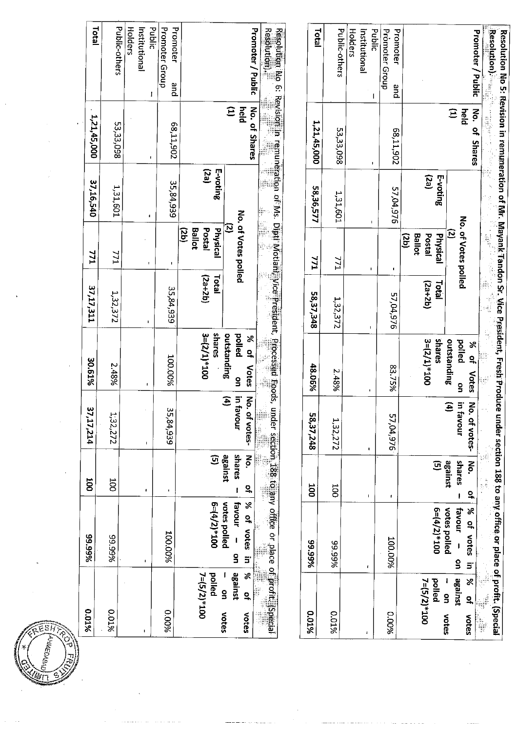| 9610.0                                                                             | 99.99%                                                                                                      | <b>SOO</b>                                           | 37,17,214                        | 30.61%                                                                                        | 37,17,311                 | 771                                                                                       | 37,16,540        | 1,21,45,000                              | Total                                                                                                                                                                                                    |
|------------------------------------------------------------------------------------|-------------------------------------------------------------------------------------------------------------|------------------------------------------------------|----------------------------------|-----------------------------------------------------------------------------------------------|---------------------------|-------------------------------------------------------------------------------------------|------------------|------------------------------------------|----------------------------------------------------------------------------------------------------------------------------------------------------------------------------------------------------------|
| 9610.0                                                                             | %66'66                                                                                                      | 100                                                  | 1;32,272                         | 2.48%                                                                                         | 1,32,372                  | 771                                                                                       | 1,31,601         | 53,33,098                                | Public-others                                                                                                                                                                                            |
|                                                                                    | $\blacksquare$                                                                                              | ٠                                                    | I.                               | t                                                                                             | I.                        | $\mathbf r$                                                                               |                  |                                          | <b>Holders</b><br>Institutional<br>Public                                                                                                                                                                |
| 9600'0                                                                             | 100.00%                                                                                                     | $\blacksquare$                                       | 35,84,939                        | 100.00%                                                                                       | 35,84,939                 |                                                                                           | 35,84,939        | 68,11,902                                | Promoter Group<br>Promoter<br>pue                                                                                                                                                                        |
| against<br>×<br>pelled<br>$7 = (5/2)*100$<br>g<br>$\overline{a}$<br>votes<br>votes | $\aleph$<br>votes polled<br><b>Favour</b><br>$6 = (4/2)*100$<br>$\tilde{a}$<br>votes<br>$\overline{a}$<br>5 | against<br>shares<br>No.<br>$\mathbf{G}$<br><u>ي</u> | E<br>in favour<br>š<br>of votes- | shares<br>$3 = (2/1)*100$<br>outstanding<br>palled<br>$\aleph$<br>읶<br>Votes<br>$\frac{6}{1}$ | <b>Total</b><br>$(2a+2b)$ | No. of Votes polled<br>Σ<br><b>Physical</b><br><b>Ballot</b><br>Postal<br>$\overline{50}$ | (PZ)<br>E-voting | $\widehat{\Xi}$<br>No. of Shares<br>held | Promoter / Public                                                                                                                                                                                        |
| 9610.0                                                                             | under section 188 to any office or place of profit. (special<br>%66'66                                      | 100                                                  | 58,37,248                        | 48.06%                                                                                        | 58,37,348                 | <b>IZZ</b>                                                                                | 58,36,577        | 1,21,45,000                              | <b>Resplution).</b><br>Resolution is a Revision remuneration of Ms. Digit Motian Vice President, Arocessed Roods,<br>Resolution is a construction of Ms. Digit Motian Motian Arcs (1997)<br><b>Total</b> |
| 801%                                                                               | 89.99%                                                                                                      | 500                                                  | 1,32,272                         | 2.48%                                                                                         | 1,32,372                  | 771                                                                                       | 1,31,601         | 53,33,098                                | Public-others                                                                                                                                                                                            |
|                                                                                    | $\Gamma$                                                                                                    | $\mathbf I$                                          | $\blacksquare$                   | $\mathbf I$                                                                                   |                           | $\mathbf{I}$                                                                              |                  |                                          | Institutional<br>Holders<br>Public                                                                                                                                                                       |
| 9600.0                                                                             | 100.00%                                                                                                     | ŧ                                                    | 57,04.976                        | 83.75%                                                                                        | 57,04,976                 | ٠                                                                                         | 57,04,976        | 206'11'89                                | Promoter Group<br>Promoter<br>pue                                                                                                                                                                        |
| 7=(5/2)*100<br>pelled                                                              | $6 = (4/2)*100$                                                                                             | $\mathbf{\overline{G}}$                              |                                  | $3 = (2/1)*100$<br>spares                                                                     | (2a+2b)<br>Total          | Postal<br><b>Ballot</b><br>Physical<br>(2b)                                               | (ez)<br>E-voting |                                          |                                                                                                                                                                                                          |
| ×<br>against<br>g<br><u>੍ਰ</u><br>votes<br>votes                                   | % of votes<br>votes polled<br>favour<br>$\frac{1}{2}$<br>5                                                  | Йó.<br>shares<br>against<br>٩                        | No. of votes-<br>E)<br>in favour | outstanding<br>polled<br>X<br>$\mathbf{Q}_n$<br>Votes<br>g                                    |                           | No. of Votes polled<br><u>ව</u>                                                           |                  | $\Xi$<br>No. of<br>held<br><b>Shares</b> | <b>Promoter / Public</b>                                                                                                                                                                                 |
|                                                                                    |                                                                                                             | ł                                                    |                                  |                                                                                               | å                         |                                                                                           |                  |                                          |                                                                                                                                                                                                          |

偏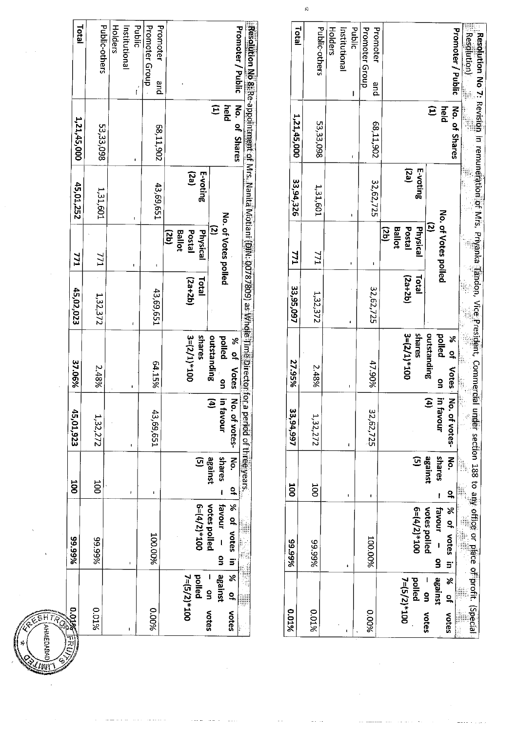| <b>DOMETER</b>       | 89.99%             |              |                          |                        |              |                     |           |                                                                                                  |                      |              |
|----------------------|--------------------|--------------|--------------------------|------------------------|--------------|---------------------|-----------|--------------------------------------------------------------------------------------------------|----------------------|--------------|
|                      |                    | 001          | 45,01,923                | 37.06%                 | 45,02,023    | 771                 | 45,01,252 | 1,21,45,000                                                                                      |                      | <b>Total</b> |
| 801%                 | 89.99%             | 100          | 1,32,272                 | 2.48%                  | 1,32,372     | 771                 | 1,31,601  | 53,33,098                                                                                        | Public-others        |              |
|                      |                    |              |                          |                        |              |                     |           |                                                                                                  |                      |              |
|                      |                    |              |                          |                        |              |                     |           |                                                                                                  |                      | Holders      |
|                      |                    |              |                          |                        |              |                     |           |                                                                                                  | Institutional        |              |
|                      |                    |              |                          |                        |              | ı                   |           |                                                                                                  | ľ                    | Public       |
| 9600.0               | 100.00%            |              | 43,69,651                |                        |              |                     |           |                                                                                                  | Promoter Group       |              |
|                      |                    |              |                          | 64.15%                 | 43,69,651    | ı                   | 43,69,651 | 68,11,902                                                                                        | Promoter<br>and<br>P |              |
|                      |                    |              |                          |                        |              | (dS)                |           |                                                                                                  |                      |              |
|                      |                    |              |                          |                        |              | <b>Ballot</b>       |           |                                                                                                  |                      |              |
| 7=(5/2)*100          |                    |              |                          | $3 = (2/1)*100$        | $(2a+2b)$    | Postal              | $($ ez)   |                                                                                                  |                      |              |
| pelled               | $6 = (4/2)*100$    | $\mathbf{G}$ |                          | shares                 | <b>Total</b> | Physical            | E-voting  |                                                                                                  |                      |              |
| - on votes           | votes polled       | against      | Ξ                        | outstanding            |              | $\overline{q}$      |           | $\widehat{\Xi}$                                                                                  |                      |              |
| against              | favour -<br>g      | shares -     | in favour                | pelled<br>$\mathbf{S}$ |              | No. of Vates polled |           | held                                                                                             |                      |              |
| % of<br><b>Motes</b> | of   % of votes in |              | No. of votes- No.        | % of Vates             |              |                     |           | No. of Shares                                                                                    | Promoter / Public    |              |
|                      |                    |              | a period of three years, |                        |              |                     |           |                                                                                                  |                      |              |
|                      |                    |              |                          |                        |              |                     |           | Resolution No 81Re-appointment of Mrs. Nanita Motiani (DIN: 00787809) as Whole Tima Director for |                      |              |

 $\hat{\pi}$  .  $\sim$  .  $\sim$ 

 $\bar{\omega}$  .  $\bar{\omega}$  ,

i,

 $\tau \rightarrow \tau$ 

 $\alpha$ 

 $\hat{\mathcal{A}}$ 

 $\widehat{\mathsf{SHT}}$ 

**HMEDABAI** 

| 0.01%                                                        | 89.9%                                                        | 100                                                | 33,94,997                        | 27.95%                                    | 33,95,097                 | <b>771</b>                                  | 33,94,326        | 1,21,45,000                | <b>Total</b>                                                                                                      |
|--------------------------------------------------------------|--------------------------------------------------------------|----------------------------------------------------|----------------------------------|-------------------------------------------|---------------------------|---------------------------------------------|------------------|----------------------------|-------------------------------------------------------------------------------------------------------------------|
| 2.01%                                                        | 89.99%                                                       | <b>DOC</b>                                         | 1,32,272                         | 2.48%                                     | 1,32,372                  | 771                                         | 1,31,601         | 53,33,098                  | Public-others                                                                                                     |
|                                                              |                                                              | ŧ                                                  | ı                                |                                           |                           | ı                                           | ı                | t                          | Public<br>Holders<br>Institutional<br>ı                                                                           |
| 9600'0                                                       | <b>100.00%</b>                                               | t                                                  | 32,62,725                        | 47.90%                                    | 32,62,725                 | I                                           | 32,62,725        | 58,11,902                  | Promoter Group<br>Promoter<br>and                                                                                 |
| pelled<br>7=(5/2)*100                                        | $6 = (4/2) * 100$                                            | $\overline{G}$                                     |                                  | $3 = (2/1) * 100$<br>shares               | <b>Lotal</b><br>$(2a+2b)$ | Physical<br><b>Ballot</b><br>Postal<br>(qz) | (ez)<br>E-voting |                            |                                                                                                                   |
| $\frac{36}{5}$<br>against<br>।<br>9<br><b>NOtes</b><br>votes | 8 of votes in<br>favour -<br>votes polled<br>g               | $\overline{\mathbf{g}}$<br>shares<br>asuusse<br>٩, | on   in favour<br>E<br>of votes- | palled<br>outstanding<br>% of Votes   No. |                           | No. of Votes polled<br>$\tilde{c}$          |                  | No. of Shares<br>Ê<br>held | Promoter / Public                                                                                                 |
|                                                              | niter section 188 to any office or place of profit. (Special |                                                    |                                  |                                           |                           |                                             |                  |                            | Resolution)<br>-Resolution No 7: Revision in remuneration of Miss. Privanka Tandon, Vice President, Commercial un |

 $\bar{\mathcal{A}}$ 

 $\sim$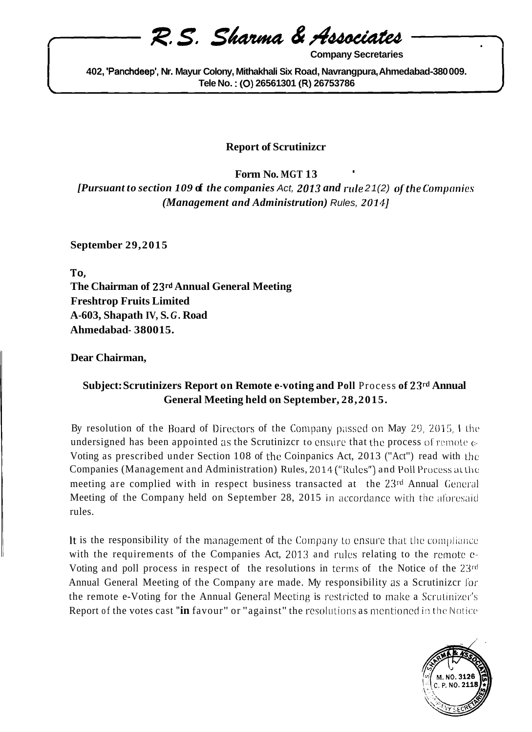# R. S. Sharma & Associates

**Company Secretaries** 

402, 'Panchdeep', Nr. Mayur Colony, Mithakhali Six Road, Navrangpura, Ahmedabad-380009. Tele No.: (O) 26561301 (R) 26753786

### **Report of Scrutinizcr**

Form No. MGT 13 [Pursuant to section 109 of the companies Act, 2013 and rule 21(2) of the Companies (Management and Administrution) Rules, 2014]

**September 29,2015** 

To. The Chairman of 23rd Annual General Meeting **Freshtrop Fruits Limited** A-603, Shapath IV, S.G. Road Ahmedabad-380015.

Dear Chairman,

## Subject: Scrutinizers Report on Remote e-voting and Poll Process of 23rd Annual General Meeting held on September, 28, 2015.

By resolution of the Board of Directors of the Company passed on May 29, 2015, 1 the undersigned has been appointed as the Scrutinizer to ensure that the process of remote  $\epsilon$ -Voting as prescribed under Section 108 of the Coinpanics Act, 2013 ("Act") read with the Companies (Management and Administration) Rules, 2014 ("Rules") and Poll Process at the meeting are complied with in respect business transacted at the 23rd Annual General Meeting of the Company held on September 28, 2015 in accordance with the aforesaid rules.

It is the responsibility of the management of the Company to ensure that the compliance with the requirements of the Companies Act, 2013 and rules relating to the remote e-Voting and poll process in respect of the resolutions in terms of the Notice of the 23rd Annual General Meeting of the Company are made. My responsibility as a Scrutinizer for the remote e-Voting for the Annual General Meeting is restricted to make a Scrutinizer's Report of the votes cast "in favour" or "against" the resolutions as mentioned in the Notice

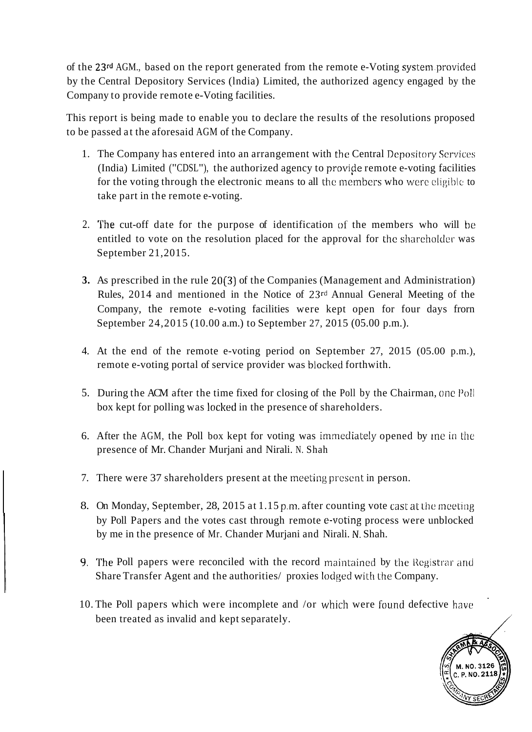of the **23rd** AGM., based on the report generated from the remote e-Voting system.provided by the Central Depository Services (lndia) Limited, the authorized agency engaged by the Company to provide remote e-Voting facilities.

This report is being made to enable you to declare the results of the resolutions proposed to be passed at the aforesaid AGM of the Company.

- 1. The Company has entered into an arrangement with the Central Depository Scrviccs (India) Limited ("CDSL"), the authorized agency to provide remote e-voting facilities for the voting through the electronic means to all the members who were eligible to take part in the remote e-voting.
- 2. The cut-off date for the purpose of identification of the members who will be entitled to vote on the resolution placed for the approval for the sharcholder was September 21,2015.
- **3.** As prescribed in the rule 20(3) of the Companies (Management and Administration) Rules, 2014 and mentioned in the Notice of 23rd Annual General Meeting of the Company, the remote e-voting facilities were kept open for four days frorn September 24,2015 (10.00 a.m.) to September 27, 2015 (05.00 p.m.).
- 4. At the end of the remote e-voting period on September 27, 2015 (05.00 p.m.), remote e-voting portal of service provider was blocked forthwith.
- 5. During the ACM after the time fixed for closing of the Poll by the Chairman, one Poll box kept for polling was locked in the presence of shareholders.
- 6. After the AGM, the Poll box kept for voting was immediately opened by the in the presence of Mr. Chander Murjani and Nirali. N. Shah
- 7. There were 37 shareholders present at the meeting present in person.
- 8. On Monday, September, 28, 2015 at 1.15 p.m. after counting vote cast at the meeting by Poll Papers and the votes cast through remote e-voting process were unblocked by me in the presence of Mr. Chander Murjani and Nirali. M. Shah.
- 9. The Poll papers were reconciled with the record maintained by the Registrar and Share Transfer Agent and the authorities/ proxies lodged with the Company.
- 10. The Poll papers which were incomplete and /or which were found defective have been treated as invalid and kept separately.

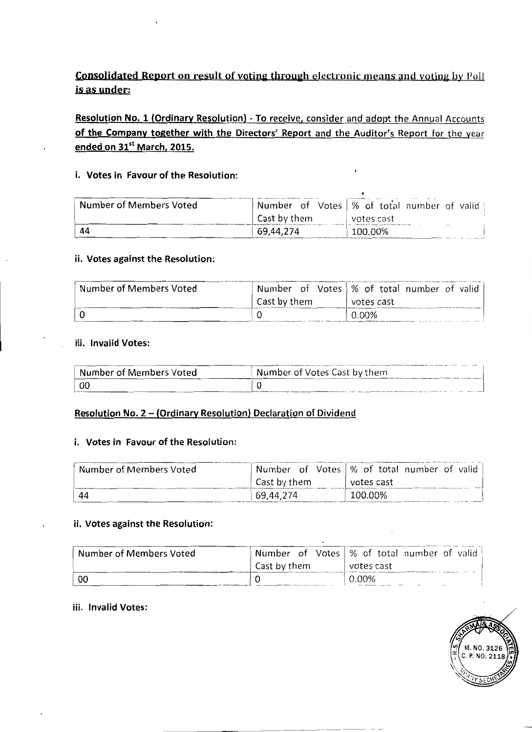## **Consolidated Report on result of voting through electronic means and voting by Poll** is as under:

Resolution No. 1 (Ordinary Resolution) - To receive, consider and adopt the Annual Accounts of the Company together with the Directors' Report and the Auditor's Report for the year ended on 31st March, 2015.

### i. Votes in Favour of the Resolution:

| Number of Members Voted |              | Number of Votes   % of total number of valid |
|-------------------------|--------------|----------------------------------------------|
|                         | Cast by them | votes cast                                   |
|                         | 69,44,274    | 100.00%<br>-----------                       |

#### ii. Votes against the Resolution:

| Number of Members Voted |              | Number of Votes   % of total number of valid |
|-------------------------|--------------|----------------------------------------------|
|                         | Cast by them | votes cast                                   |
|                         |              | $0.00\%$                                     |

#### iii. Invalid Votes:

| <b>Number of Members Voted</b> | Number of Votes Cast by them |
|--------------------------------|------------------------------|
|                                |                              |

#### Resolution No. 2 - (Ordinary Resolution) Declaration of Dividend

#### i. Votes in Favour of the Resolution:

| Number of Members Voted |              | Number of Votes   % of total number of valid |
|-------------------------|--------------|----------------------------------------------|
|                         | Cast by them | votes cast                                   |
| 44                      | 69.44.274    | 100.00%                                      |

## ii. Votes against the Resolution:

| Number of Members Voted |              | Number of Votes   % of total number of valid |  |  |  |  |
|-------------------------|--------------|----------------------------------------------|--|--|--|--|
|                         | Cast by them | votes cast                                   |  |  |  |  |
| -00                     |              | $0.00\%$<br>$\sim$                           |  |  |  |  |

#### iii. Invalid Votes:

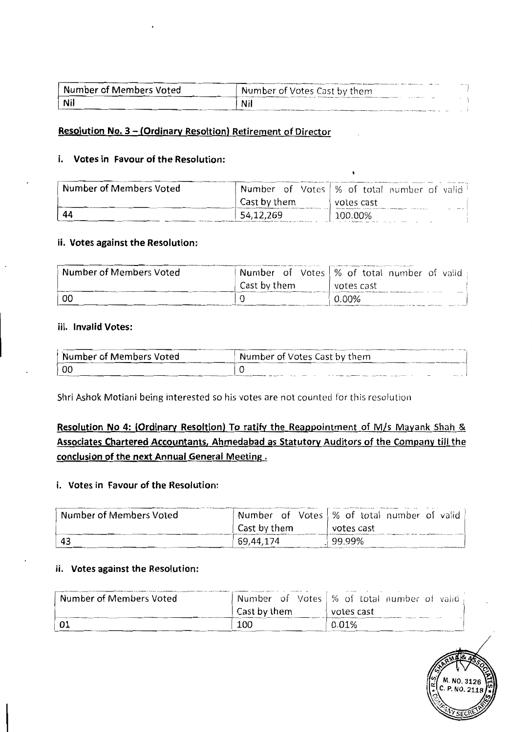| Number of Members Voted | Number of Votes Cast by them | $-$ |  |
|-------------------------|------------------------------|-----|--|
| Nil                     | Nil                          |     |  |

## Resolution No. 3 - (Ordinary Resoltion) Retirement of Director

#### i. Votes in Favour of the Resolution:

| Number of Members Voted | Number of Votes   % of total number of valid |  |  |  |            |  |    |
|-------------------------|----------------------------------------------|--|--|--|------------|--|----|
|                         | Cast by them                                 |  |  |  | votes cast |  |    |
| 44                      | 54,12,269                                    |  |  |  | 100.00%    |  | -- |

#### ii. Votes against the Resolution:

| Number of Members Voted | Number of Votes   % of total number of valid |  |       |            |  |                |
|-------------------------|----------------------------------------------|--|-------|------------|--|----------------|
|                         | Cast by them                                 |  |       | votes cast |  |                |
| - OC                    |                                              |  | 0.00% |            |  | <b>COLLEGE</b> |

#### iii. Invalid Votes:

| Number of Members Voted | Number of Votes Cast by them |
|-------------------------|------------------------------|
|                         |                              |

Shri Ashok Motiani being interested so his votes are not counted for this resolution

## Resolution No 4: (Ordinary Resoltion) To ratify the Reappointment of M/s Mayank Shah & Associates Chartered Accountants, Ahmedabad as Statutory Auditors of the Company till the conclusion of the next Annual General Meeting.

#### i. Votes in Favour of the Resolution:

| Number of Members Voted |              | Number of Votes   % of total number of valid |
|-------------------------|--------------|----------------------------------------------|
|                         | Cast by them | votes cast                                   |
| -43                     | 69,44,174    | 99.99%                                       |

#### ii. Votes against the Resolution:

| Number of Members Voted |              | Number of Votes   % of total number of valid |
|-------------------------|--------------|----------------------------------------------|
|                         | Cast by them | votes cast                                   |
| l 01                    | 100          | 0.01%                                        |

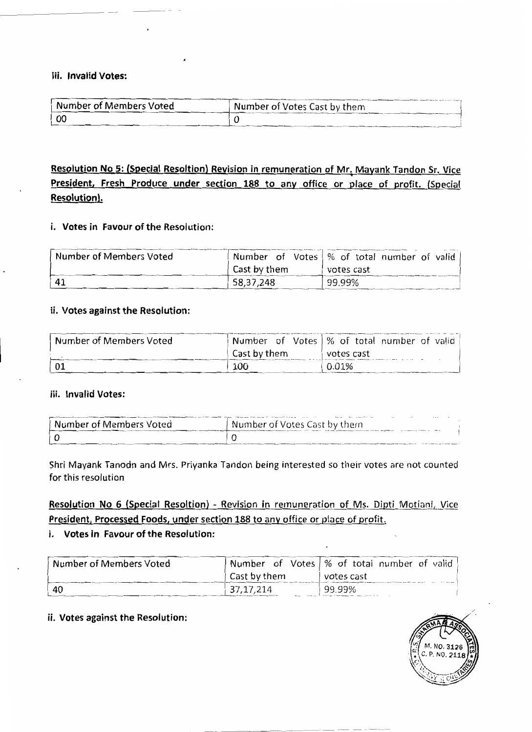#### iii. Invalid Votes:

| <b>Number of Members Voted</b> | Number of Votes Cast by them |
|--------------------------------|------------------------------|
|                                |                              |

Resolution No 5: (Special Resoltion) Revision in remuneration of Mr. Mayank Tandon Sr. Vice President, Fresh Produce under section 188 to any office or place of profit. (Special **Resolution).** 

#### i. Votes in Favour of the Resolution:

| Number of Members Voted |              | Number of Votes   % of total number of valid |
|-------------------------|--------------|----------------------------------------------|
|                         | Cast by them | votes cast                                   |
| $\mathbf{A}$            | 58,37,248    | 99.99%                                       |

#### ii. Votes against the Resolution:

| Number of Members Voted | Number of Votes   % of total number of valid |  |       |            |  |  |
|-------------------------|----------------------------------------------|--|-------|------------|--|--|
|                         | Cast by them                                 |  |       | votes cast |  |  |
|                         | 100                                          |  | 0.01% |            |  |  |

### iii. Invalid Votes:

| Number of Members Voted | $\sim$<br>$\cdots$<br>` Number of Votes Cast by them |
|-------------------------|------------------------------------------------------|
|                         |                                                      |

Shri Mayank Tanodn and Mrs. Priyanka Tandon being interested so their votes are not counted for this resolution

## Resolution No 6 (Special Resoltion) - Revision in remuneration of Ms. Dipti Motiani, Vice President, Processed Foods, under section 188 to any office or place of profit.

#### i. Votes in Favour of the Resolution:

| Number of Members Voted |              | Number of Votes   % of total number of valid |
|-------------------------|--------------|----------------------------------------------|
|                         | Cast by them | votes cast                                   |
| -40                     | 37, 17, 214  | 99.99%                                       |

#### ii. Votes against the Resolution:

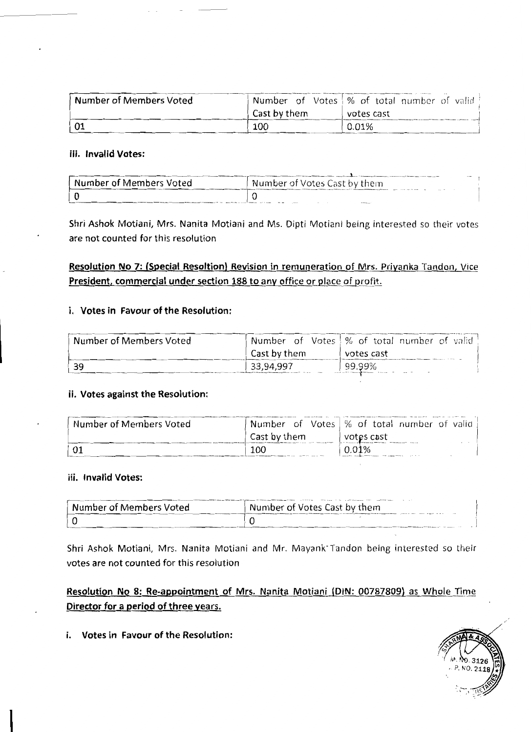| Number of Members Voted | Number of Votes \% of total number of valid |       |            |  |  |
|-------------------------|---------------------------------------------|-------|------------|--|--|
|                         | Cast by them                                |       | votes cast |  |  |
|                         | 100                                         | 0.01% |            |  |  |

#### iii. Invalid Votes:

| Number of Members Voted | Number of Votes Cast by them |  |
|-------------------------|------------------------------|--|
|                         |                              |  |

Shri Ashok Motiani, Mrs. Nanita Motiani and Ms. Dipti Motiani being interested so their votes are not counted for this resolution

## Resolution No 7: (Special Resoltion) Revision in remuneration of Mrs. Priyanka Tandon, Vice President, commercial under section 188 to any office or place of profit.

#### i. Votes in Favour of the Resolution:

| Number of Members Voted | Number of Votes   % of total number of valid |  |        |            |  |  |
|-------------------------|----------------------------------------------|--|--------|------------|--|--|
|                         | Cast by them                                 |  |        | votes cast |  |  |
| -39                     | 33,94,997                                    |  | 99.99% |            |  |  |

#### ii. Votes against the Resolution:

| Number of Members Voted | Number of Votes   % of total number of valid |  |       |            |  |  |
|-------------------------|----------------------------------------------|--|-------|------------|--|--|
|                         | Cast by them                                 |  |       | votes cast |  |  |
|                         | 100                                          |  | ገ 01% |            |  |  |

#### iii. Invalid Votes:

| Number of Members Voted | Number of Votes Cast by them |
|-------------------------|------------------------------|
|                         |                              |

Shri Ashok Motiani, Mrs. Nanita Motiani and Mr. Mayank Tandon being interested so their votes are not counted for this resolution

Resolution No 8: Re-appointment of Mrs. Nanita Motiani (DIN: 00787809) as Whole Time Director for a period of three years.



i. Votes in Favour of the Resolution: